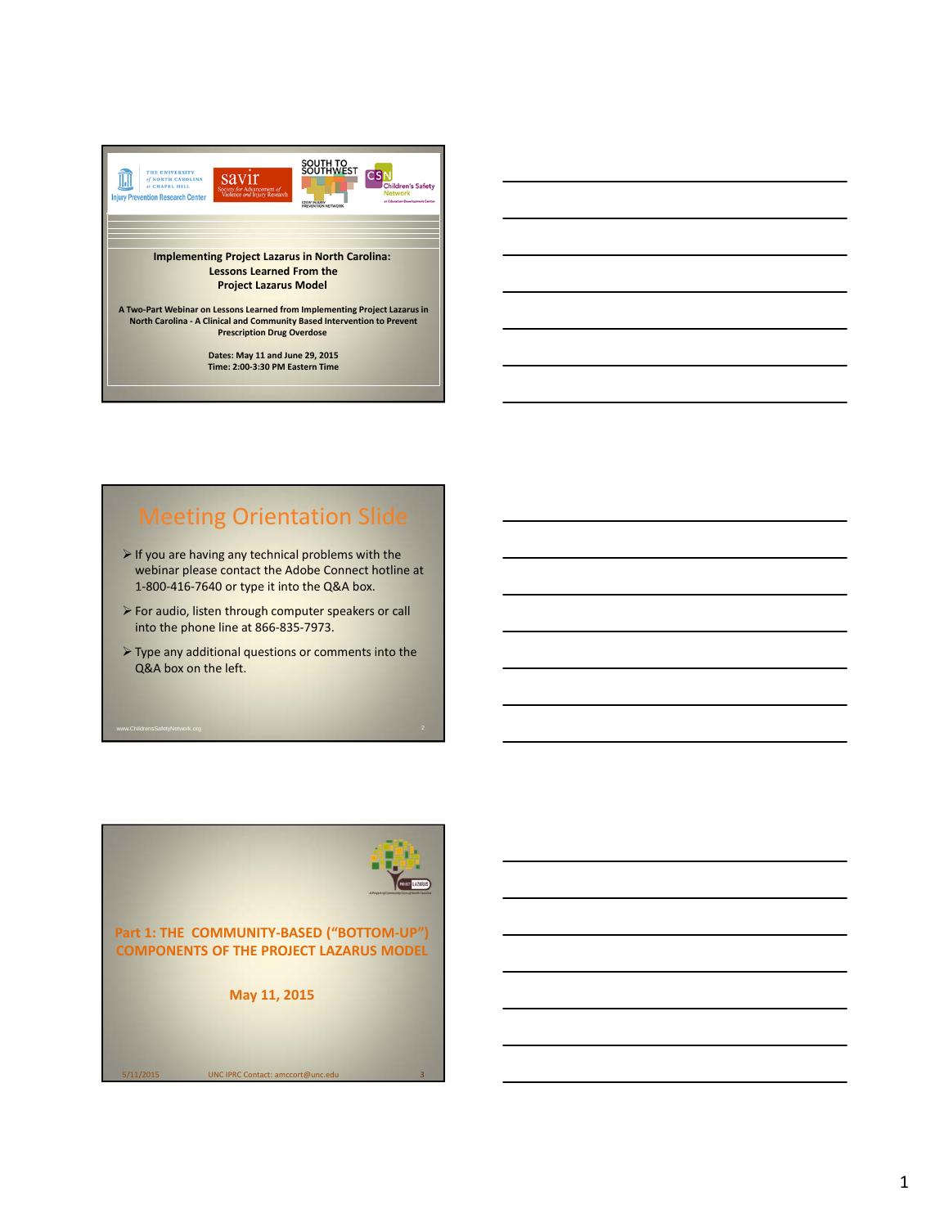

## Meeting Orientation Slide

- $\triangleright$  If you are having any technical problems with the webinar please contact the Adobe Connect hotline at 1‐800‐416‐7640 or type it into the Q&A box.
- For audio, listen through computer speakers or call into the phone line at 866‐835‐7973.
- Type any additional questions or comments into the Q&A box on the left.

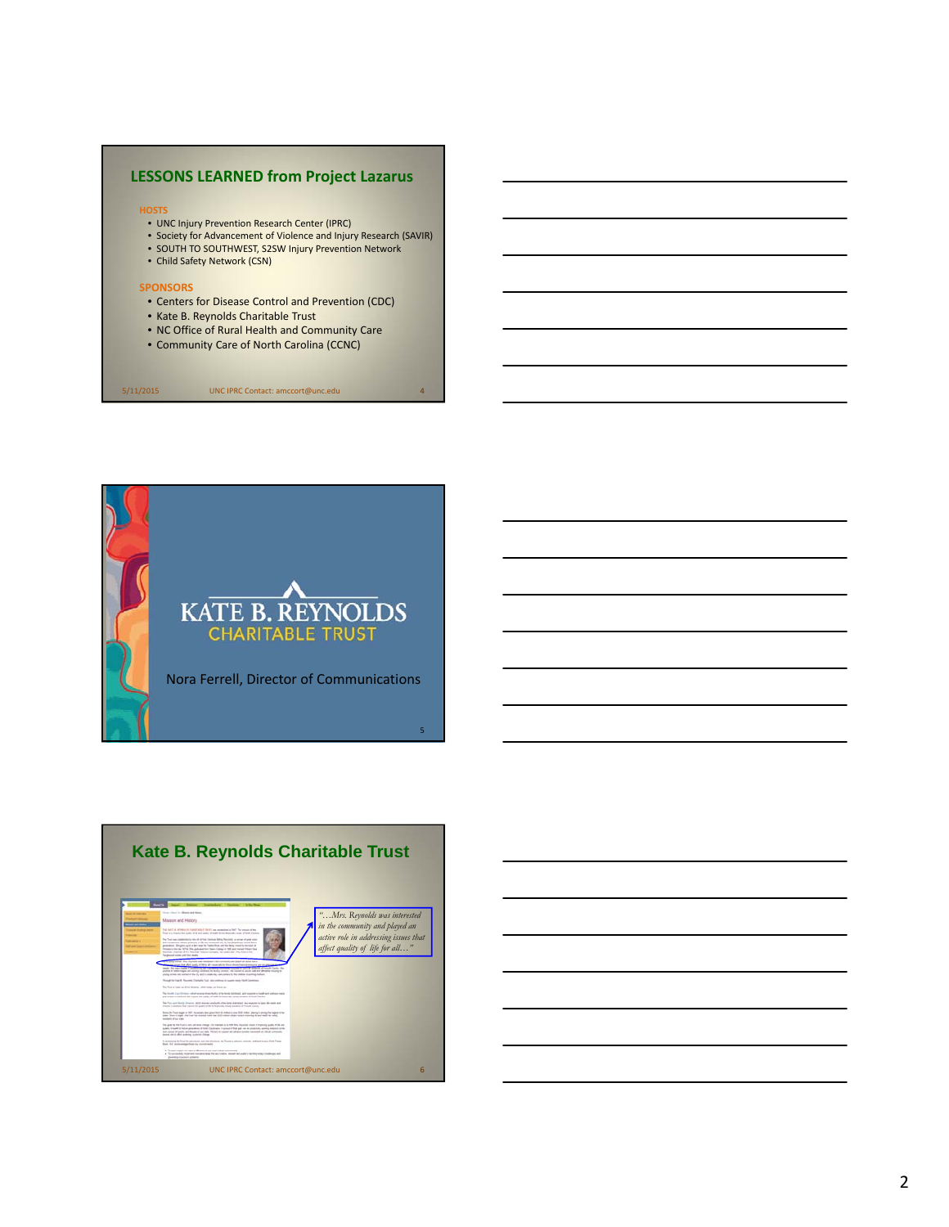## **LESSONS LEARNED from Project Lazarus**

#### **HOSTS**

- UNC Injury Prevention Research Center (IPRC)
- Society for Advancement of Violence and Injury Research (SAVIR)
- SOUTH TO SOUTHWEST, S2SW Injury Prevention Network • Child Safety Network (CSN)

## **SPONSORS**

- Centers for Disease Control and Prevention (CDC)
- Kate B. Reynolds Charitable Trust
- NC Office of Rural Health and Community Care

5/11/2015 UNC IPRC Contact: amccort@unc.edu 4

• Community Care of North Carolina (CCNC)

**KATE B. REYNOLDS CHARITABLE TRUST** Nora Ferrell, Director of Communications 5



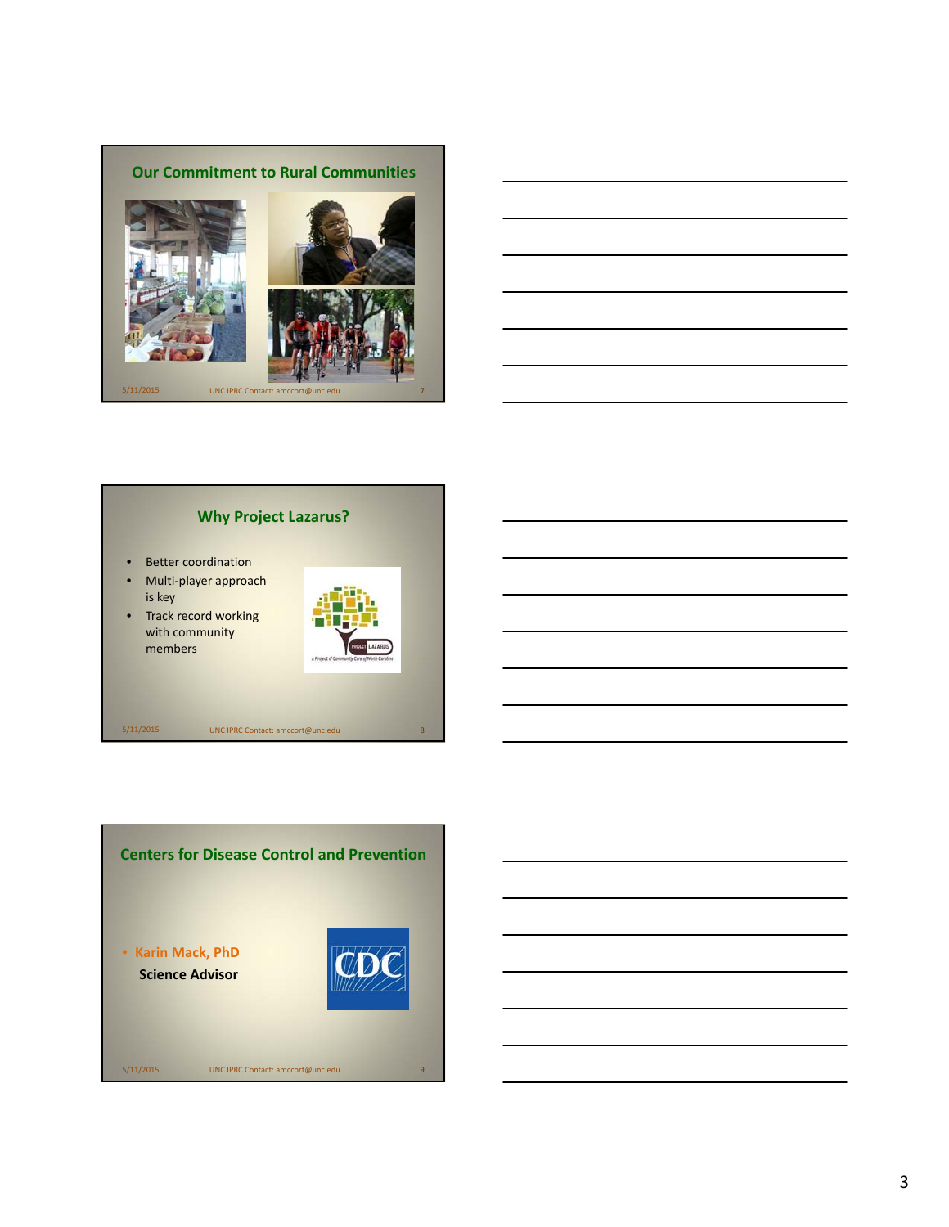



## **Why Project Lazarus?**

- Better coordination
- Multi-player approach is key
- Track record working with community members



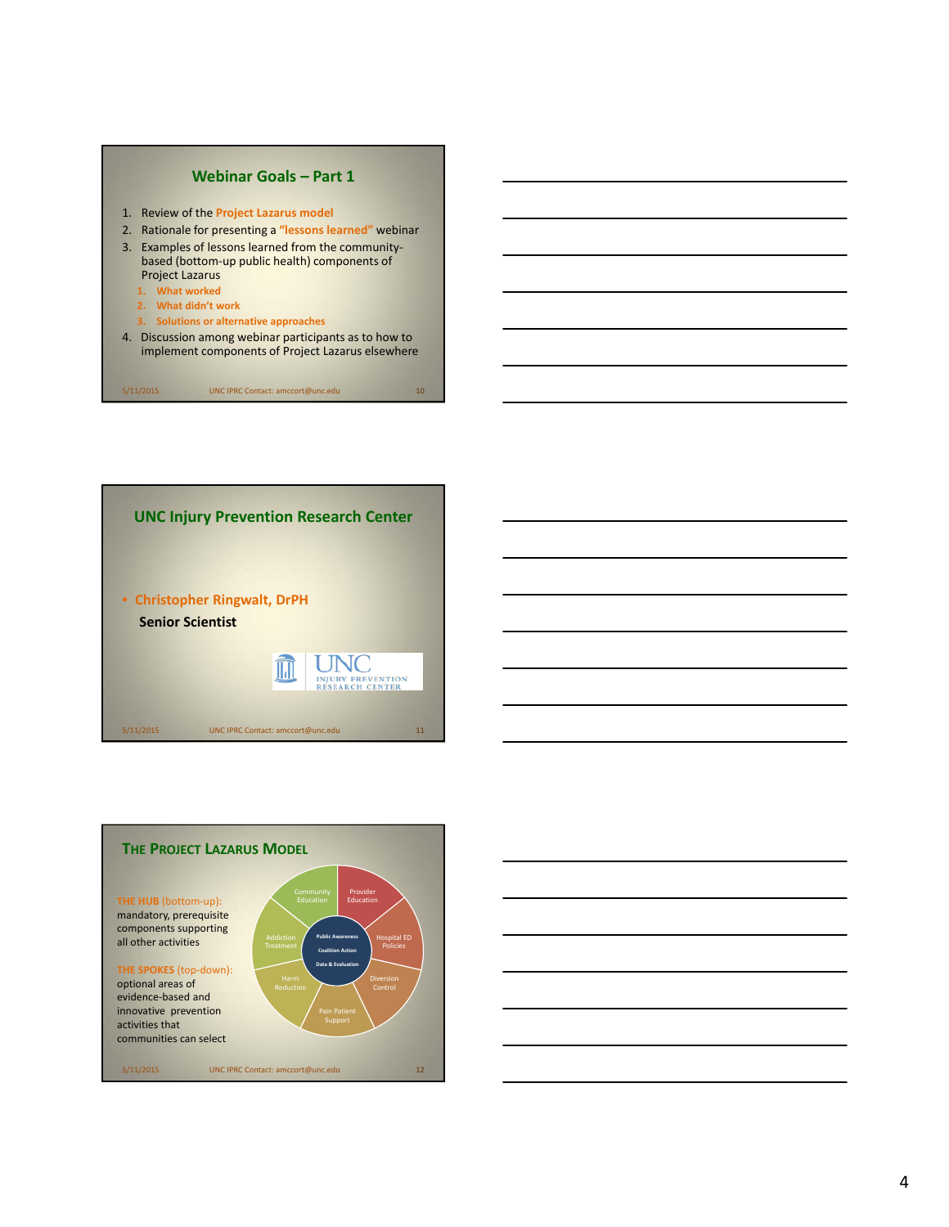





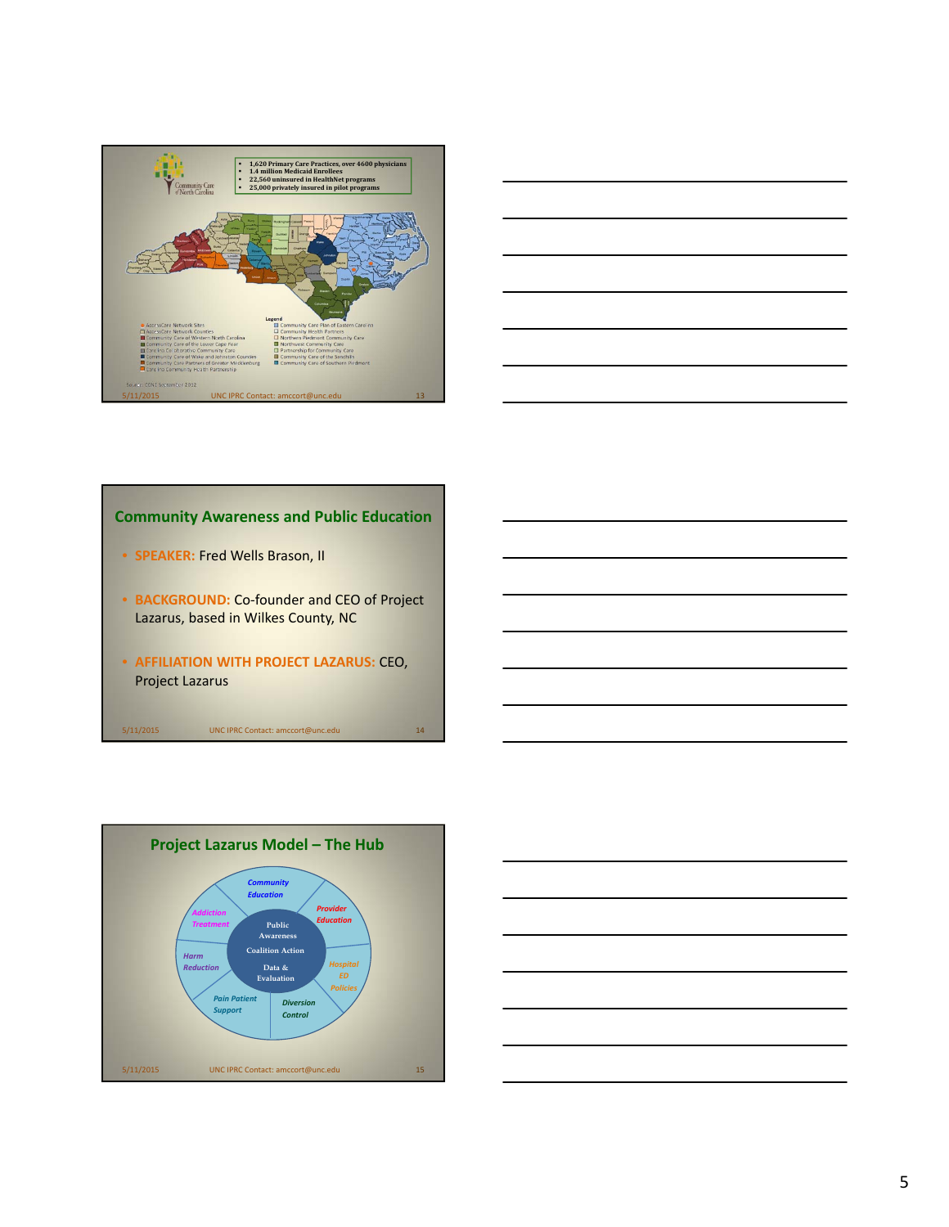



## **Community Awareness and Public Education**

- **SPEAKER:** Fred Wells Brason, II
- **BACKGROUND:** Co-founder and CEO of Project Lazarus, based in Wilkes County, NC
- **AFFILIATION WITH PROJECT LAZARUS:** CEO, Project Lazarus



|                                                                                                                       |  | <u> 1989 - Johann Stoff, deutscher Stoff, der Stoff, der Stoff, der Stoff, der Stoff, der Stoff, der Stoff, der S</u>  |
|-----------------------------------------------------------------------------------------------------------------------|--|------------------------------------------------------------------------------------------------------------------------|
|                                                                                                                       |  | <u> 1989 - Johann Harry Harry Harry Harry Harry Harry Harry Harry Harry Harry Harry Harry Harry Harry Harry Harry</u>  |
| <u> 1989 - Johann Barn, mars ann an t-Amhainn an t-Amhainn an t-Amhainn an t-Amhainn an t-Amhainn an t-Amhainn an</u> |  |                                                                                                                        |
|                                                                                                                       |  |                                                                                                                        |
|                                                                                                                       |  | <u> 1989 - Johann Barn, mars ann an t-Amhain ann an t-Amhain ann an t-Amhain ann an t-Amhain an t-Amhain ann an t-</u> |
|                                                                                                                       |  | <u> 1989 - Johann Stoff, deutscher Stoffen und der Stoffen und der Stoffen und der Stoffen und der Stoffen und de</u>  |
|                                                                                                                       |  |                                                                                                                        |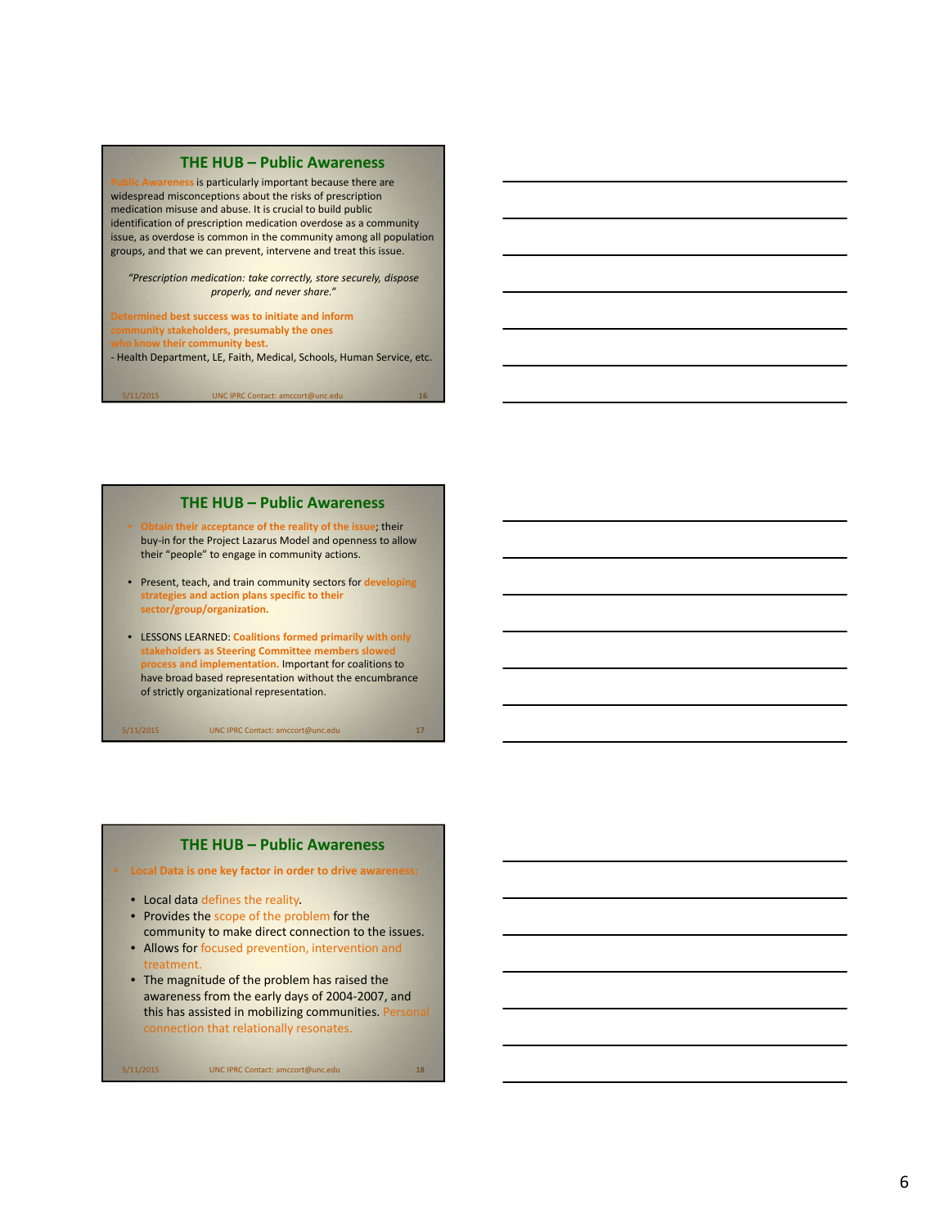#### **THE HUB – Public Awareness**

Awareness is particularly important because there are widespread misconceptions about the risks of prescription medication misuse and abuse. It is crucial to build public identification of prescription medication overdose as a community issue, as overdose is common in the community among all population groups, and that we can prevent, intervene and treat this issue.

*"Prescription medication: take correctly, store securely, dispose properly, and never share."*

#### **Determined best success was to initiate and inform**

5/11/2015 UNC IPRC Contact: amccort@unc.edu

**community stakeholders, presumably the ones**

*k* their community best.

‐ Health Department, LE, Faith, Medical, Schools, Human Service, etc.

**THE HUB – Public Awareness**

- **Obtain their acceptance of the reality of the issue**; their buy‐in for the Project Lazarus Model and openness to allow their "people" to engage in community actions.
- Present, teach, and train community sectors for **developing strategies and action plans specific to their sector/group/organization.**
- LESSONS LEARNED: **Coalitions formed primarily with only stakeholders as Steering Committee members slowed process and implementation.** Important for coalitions to have broad based representation without the encumbrance of strictly organizational representation.

5/11/2015 UNC IPRC Contact: amccort@unc.edu 17

## **THE HUB – Public Awareness**

• **Local Data is one key factor in order to drive awareness:**

- Local data defines the reality.
- Provides the scope of the problem for the community to make direct connection to the issues.
- Allows for focused prevention, intervention and reatment.
- The magnitude of the problem has raised the awareness from the early days of 2004‐2007, and this has assisted in mobilizing communities. Personal connection that relationally resonates.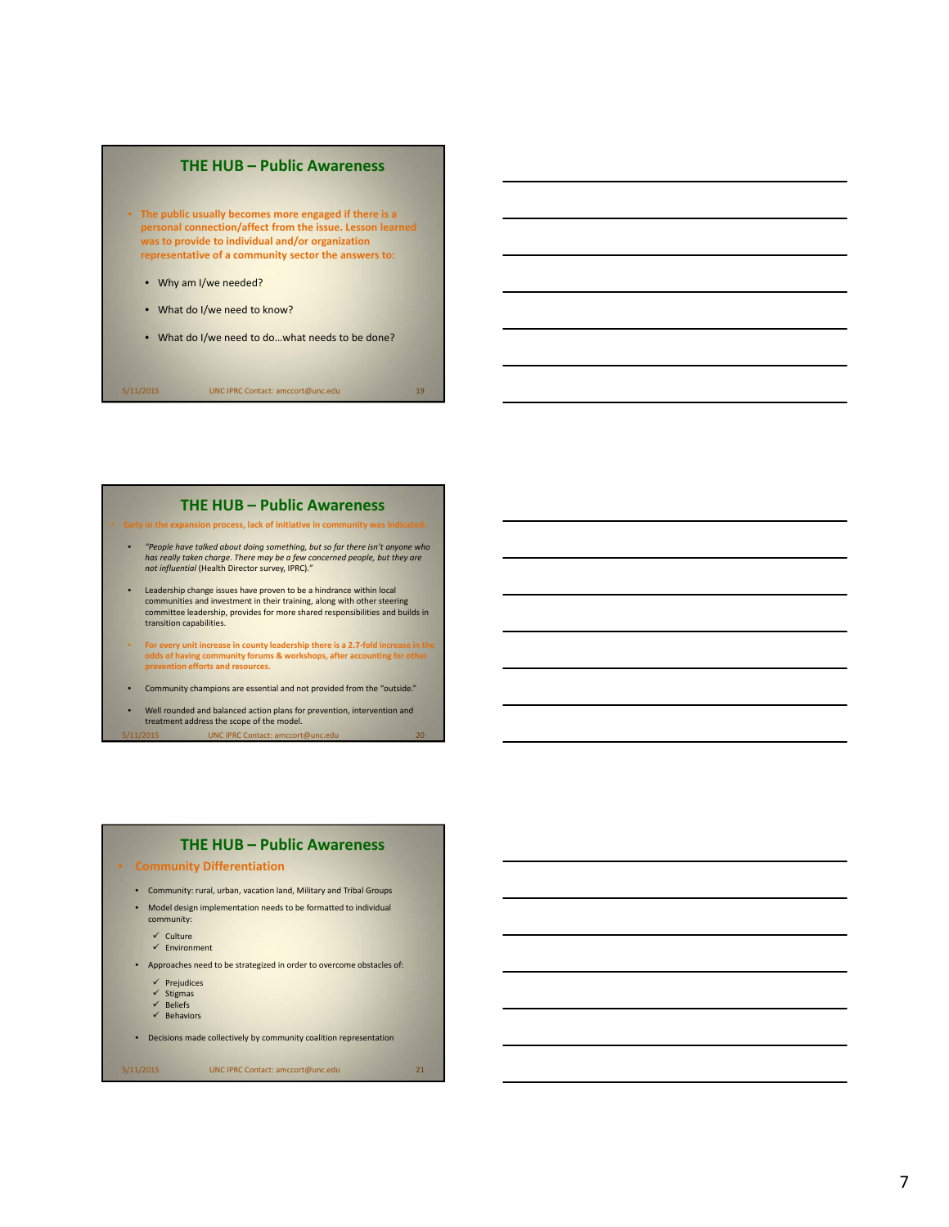

#### **THE HUB – Public Awareness**

• **Early in the expansion process, lack of initiative in community was indicated:**

- *"People have talked about doing something, but so far there isn't anyone who* has really taken charge. There may be a few concerned people, but they are<br>not influential (Health Director survey, IPRC)."
- Leadership change issues have proven to be a hindrance within local communities and investment in their training, along with other steering committee leadership, provides for more shared responsibilities and builds in transition capabilities.
- For every unit increase in county leadership there is a 2.7-fold increase in the<br>odds of having community forums & workshops, after accounting for other<br>prevention efforts and resources.
- Community champions are essential and not provided from the "outside."
- Well rounded and balanced action plans for prevention, intervention and treatment address the scope of the model.

UNC IPRC Contact: amccort

## **THE HUB – Public Awareness**

- **Community Differentiation**
	- Community: rural, urban, vacation land, Military and Tribal Groups
	- Model design implementation needs to be formatted to individual
		- community:

 $\checkmark$  Culture  $\checkmark$  Environment

• Approaches need to be strategized in order to overcome obstacles of:

 $\checkmark$  Prejudices

- $\checkmark$  Stigmas
- Beliefs Behaviors
- Decisions made collectively by community coalition representation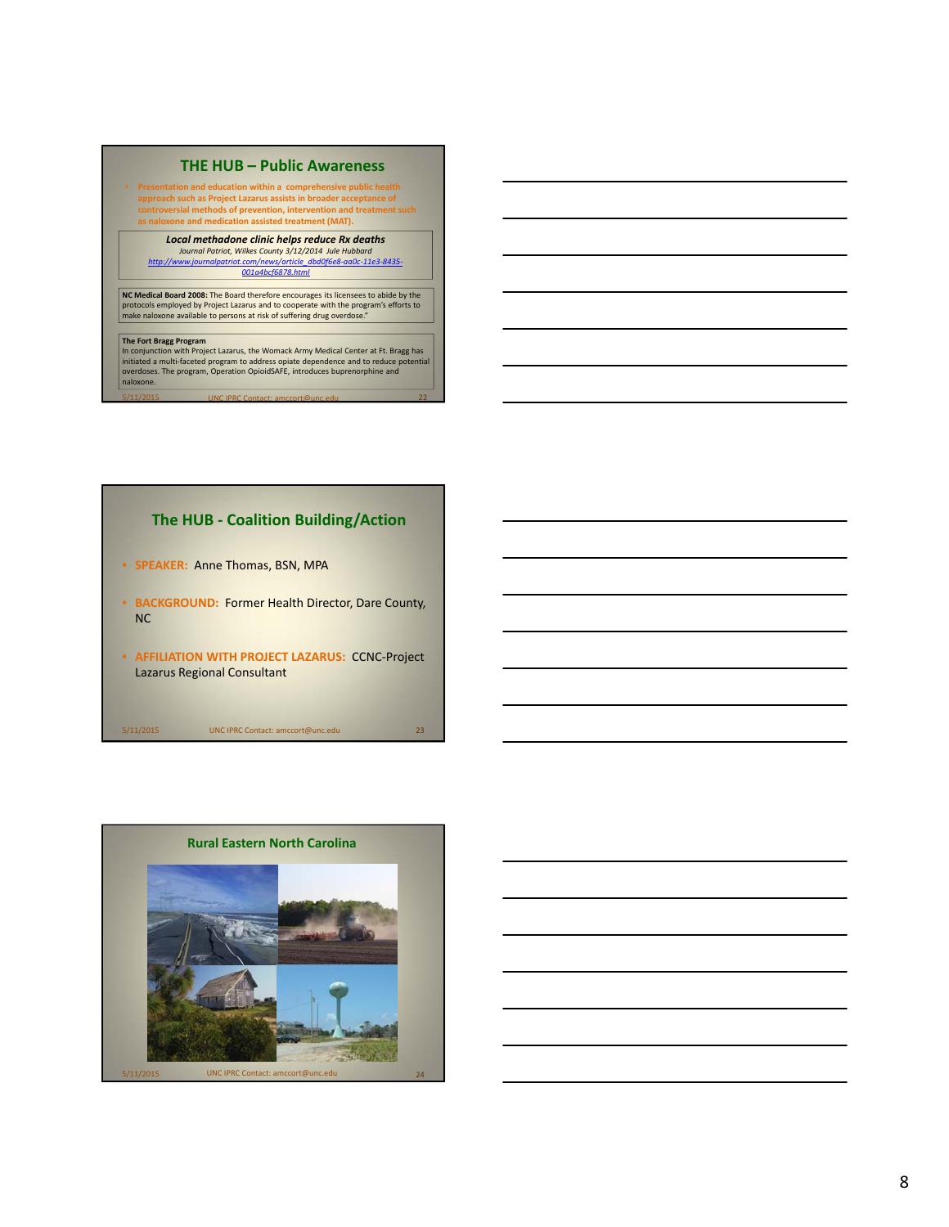#### **THE HUB – Public Awareness**

• **Presentation and education within a comprehensive public health approach such as Project Lazarus assists in broader acceptance of controversial methods of prevention, intervention and treatmentsuch as naloxone and medication assisted treatment (MAT).**

*Local methadone clinic helps reduce Rx deaths* Journal Patriot, Wilkes County 3/12/2014 Jule Hubbard<br>http://www.journalpatriot.com/news/article\_dbd0f6e8-aa0c-11e3-8435-*001a4bcf6878.html*

**NC Medical Board 2008:** The Board therefore encourages its licensees to abide by the protocols employed by Project Lazarus and to cooperate with the program's efforts to make naloxone available to persons at risk of suffering drug overdose."

T**he Fort Bragg Program**<br>In conjunction with Project Lazarus, the Womack Army Medical Center at Ft. Bragg has<br>initiated a multi-faceted program to address opiate dependence and to reduce potential<br>overdoses. The program, O naloxone. 5/11/2015 UNC IPRC Contact: amccort@unc.edu 22

## **The HUB ‐ Coalition Building/Action**

- **SPEAKER:** Anne Thomas, BSN, MPA
- **BACKGROUND:** Former Health Director, Dare County, NC
- **AFFILIATION WITH PROJECT LAZARUS:** CCNC‐Project Lazarus Regional Consultant

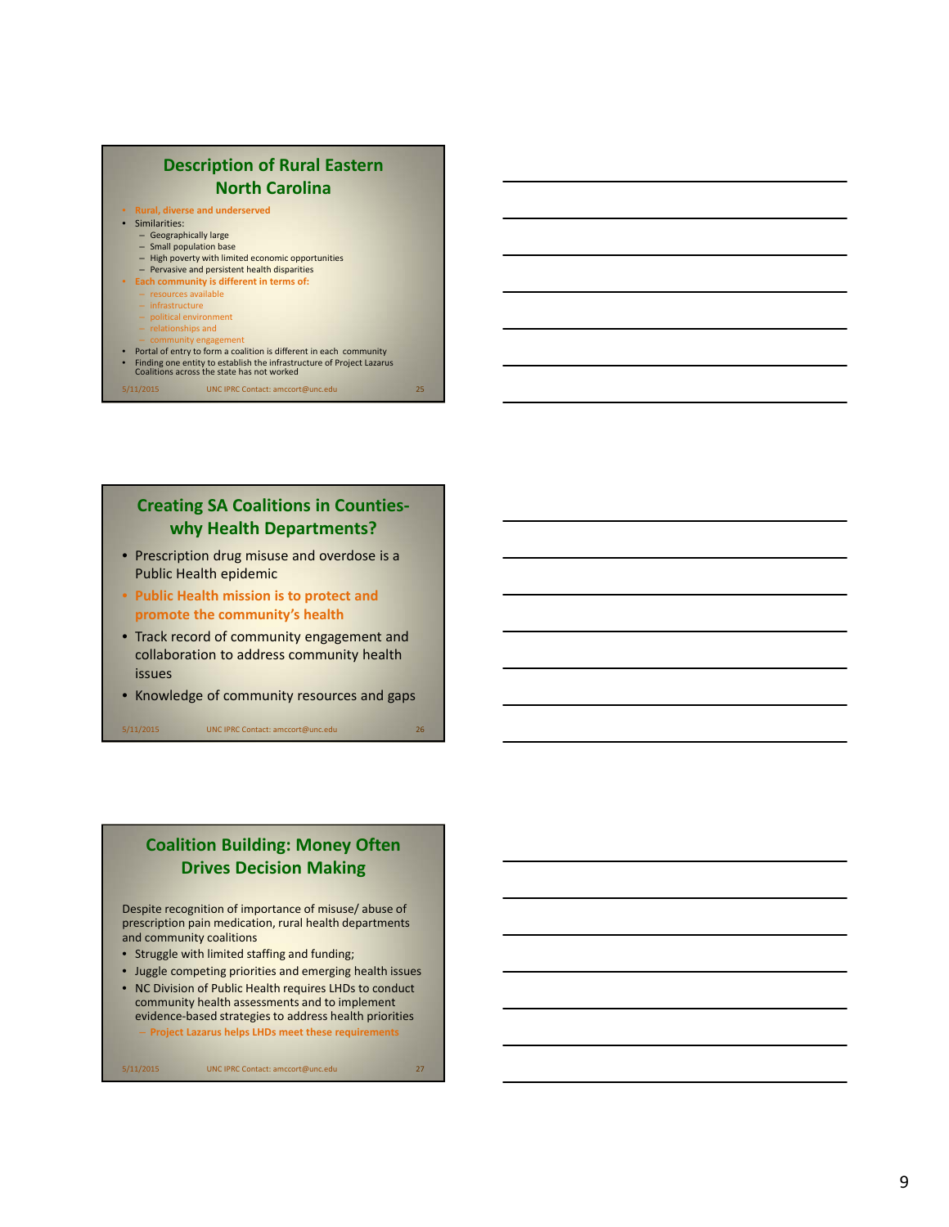

## **Creating SA Coalitions in Counties ‐ why Health Departments?**

- Prescription drug misuse and overdose is a Public Health epidemic
- **Public Health mission is to protect and promote the community's health**
- Track record of community engagement and collaboration to address community health issues
- Knowledge of community resources and gaps

5/11/2015 UNC IPRC Contact: amccort@unc.edu 26

## **Coalition Building: Money Often Drives Decision Making**

Despite recognition of importance of misuse/ abuse of prescription pain medication, rural health departments and community coalitions

- Struggle with limited staffing and funding;
- Juggle competing priorities and emerging health issues
- NC Division of Public Health requires LHDs to conduct community health assessments and to implement evidence ‐based strategies to address health priorities

– **Project Lazarus helps LHDs meet these requirements**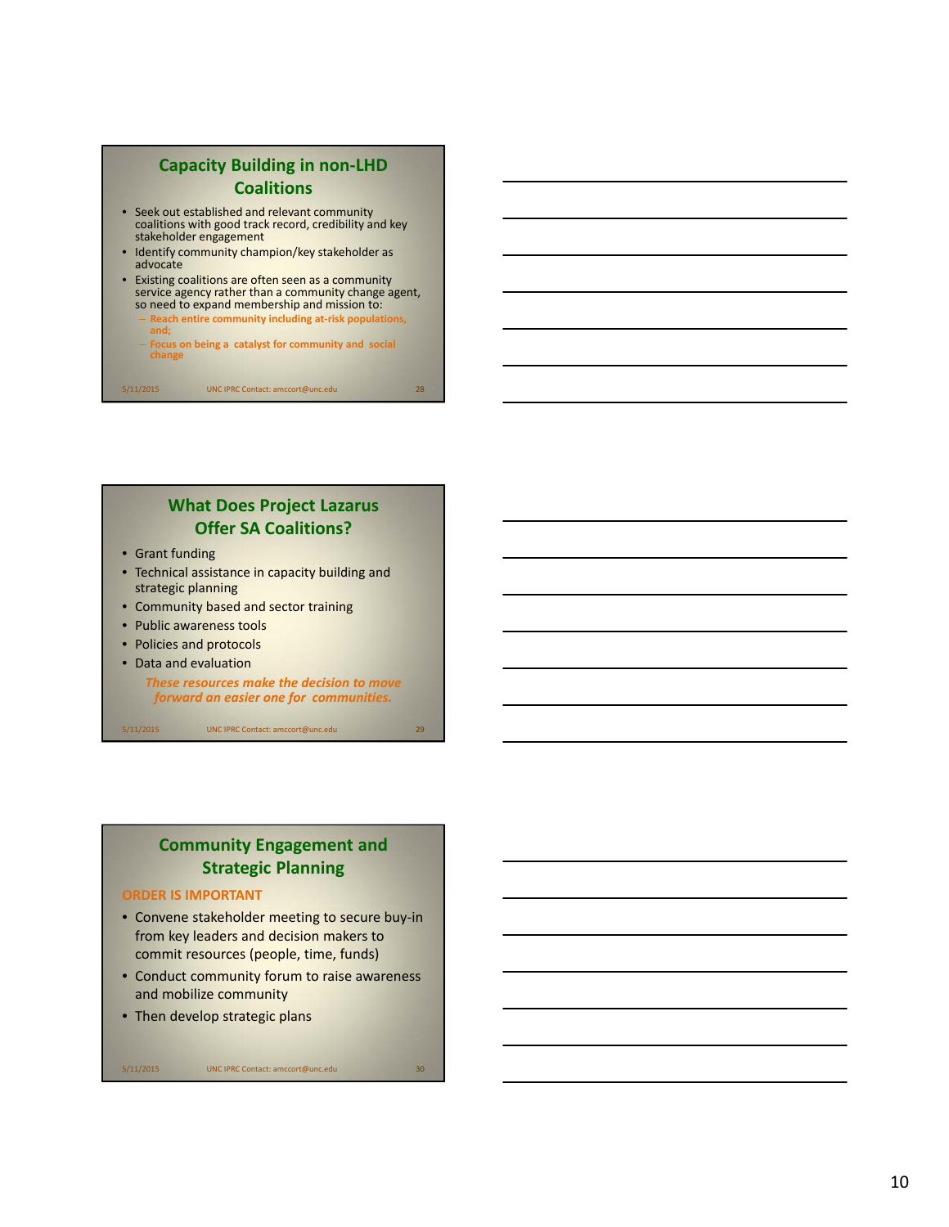## **Capacity Building in non ‐LHD Coalitions**

- Seek out established and relevant community coalitions with good track record, credibility and key stakeholder engagement
- Identify community champion/key stakeholder as advocate
- Existing coalitions are often seen as a community service agency rather than a community change agent, so need to expand membership and mission to:
	- **Reach entire community including at‐risk populations, and;**
	- **Focus on being a catalyst for community and social change**

5/11/2015 UNC IPRC Contact: amccort@unc.edu 28

## **What Does Project Lazarus Offer SA Coalitions?**

- Grant funding
- Technical assistance in capacity building and strategic planning
- Community based and sector training
- Public awareness tools
- Policies and protocols
- Data and evaluation

*These resources make the decision to move forward an easier one for communities.*

5/11/2015 UNC IPRC Contact: amccort@unc.edu 29

## **Community Engagement and Strategic Planning**

#### **ORDER IS IMPORTANT**

- Convene stakeholder meeting to secure buy-in from key leaders and decision makers to commit resources (people, time, funds)
- Conduct community forum to raise awareness and mobilize community
- Then develop strategic plans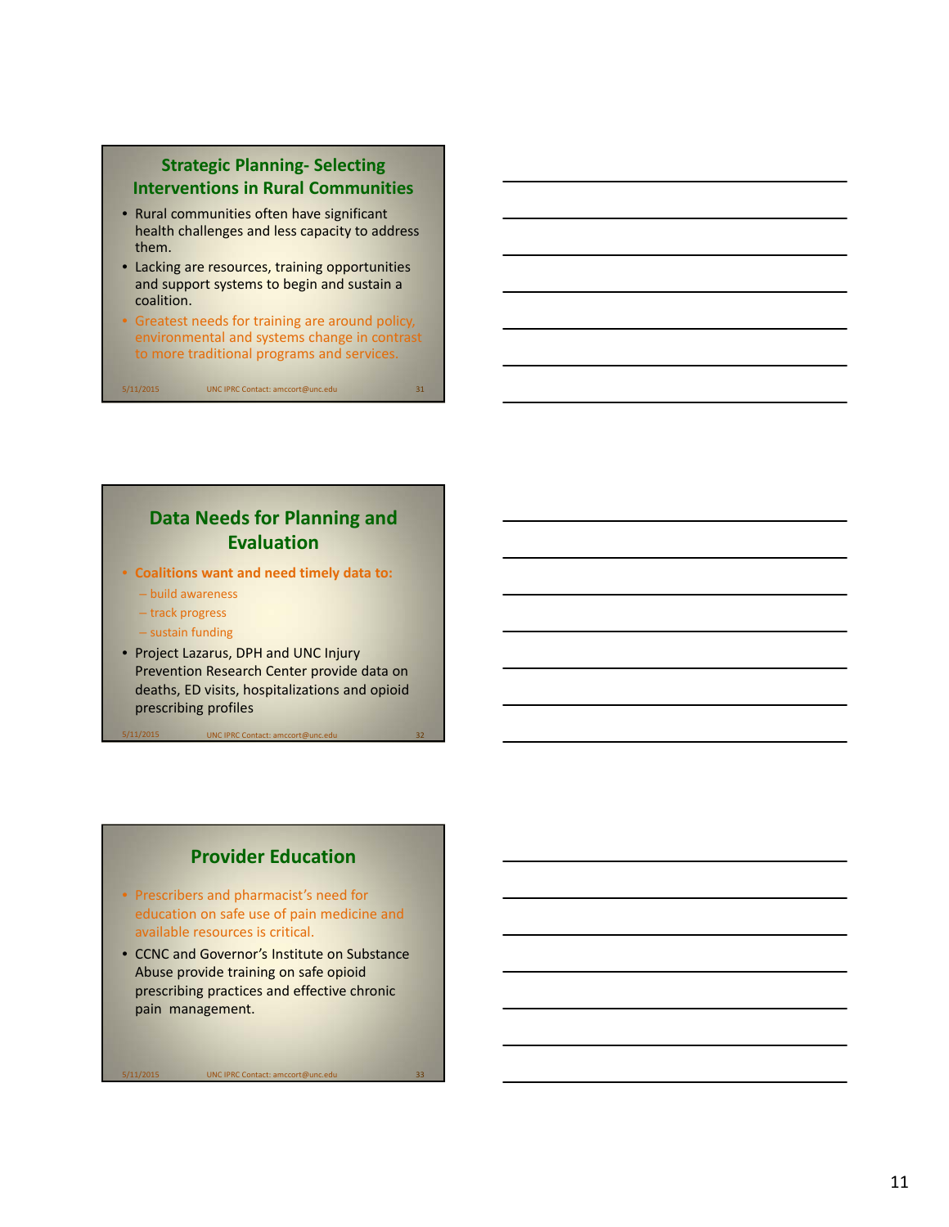## **Strategic Planning‐ Selecting Interventions in Rural Communities**

- Rural communities often have significant health challenges and less capacity to address them.
- Lacking are resources, training opportunities and support systems to begin and sustain a coalition.
- Greatest needs for training are around policy, environmental and systems change in contrast to more traditional programs and services.

5/11/2015 UNC IPRC Contact: amccort@unc.edu 31

**Data Needs for Planning and Evaluation**

- **Coalitions want and need timely data to:**
	- build awareness
	- track progress
	- sustain funding
- Project Lazarus, DPH and UNC Injury Prevention Research Center provide data on deaths, ED visits, hospitalizations and opioid prescribing profiles

UNC IPRC Contact

## **Provider Education**

- Prescribers and pharmacist's need for education on safe use of pain medicine and available resources is critical.
- CCNC and Governor's Institute on Substance Abuse provide training on safe opioid prescribing practices and effective chronic pain management.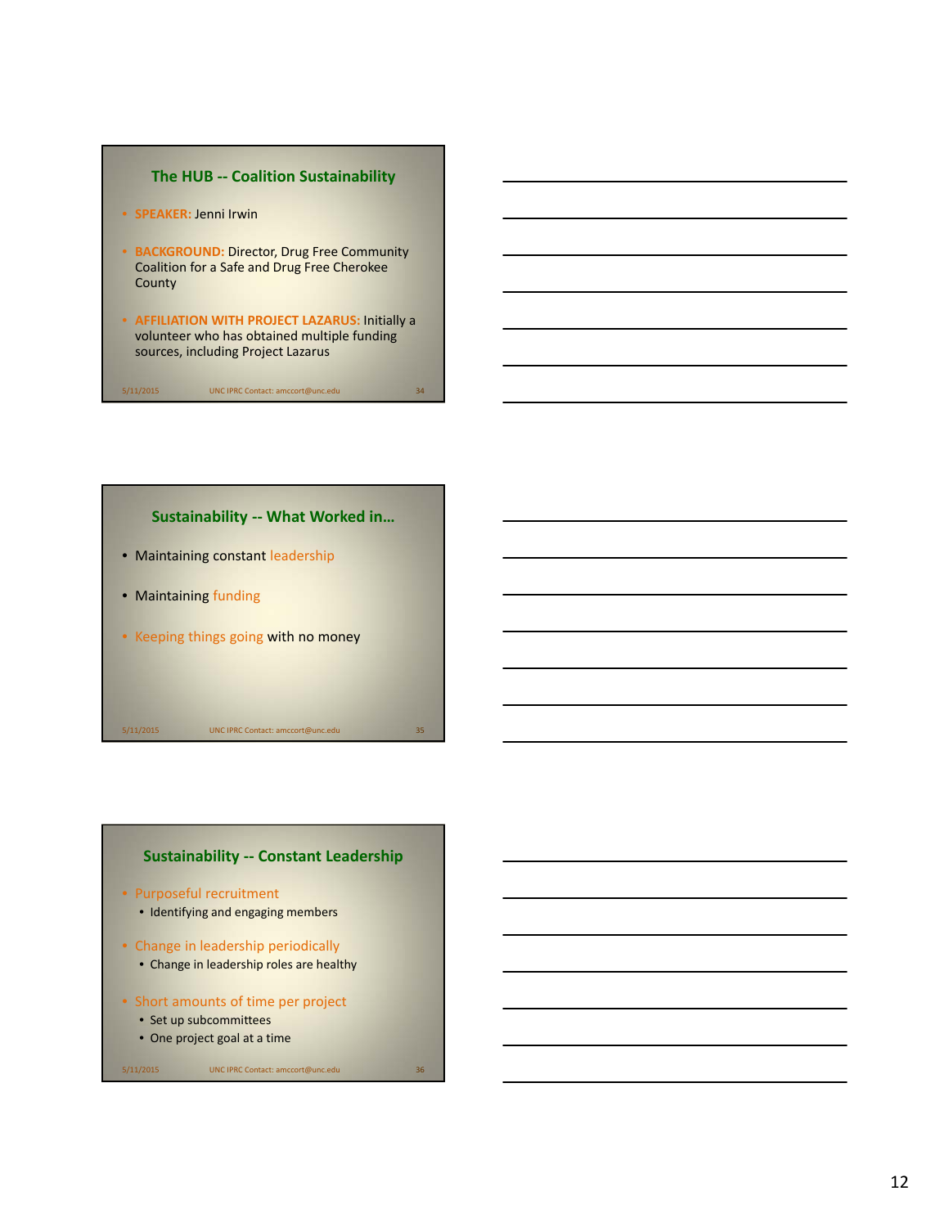





- Purposeful recruitment
	- Identifying and engaging members
- Change in leadership periodically
	- Change in leadership roles are healthy
- Short amounts of time per project
	- Set up subcommittees
	- One project goal at a time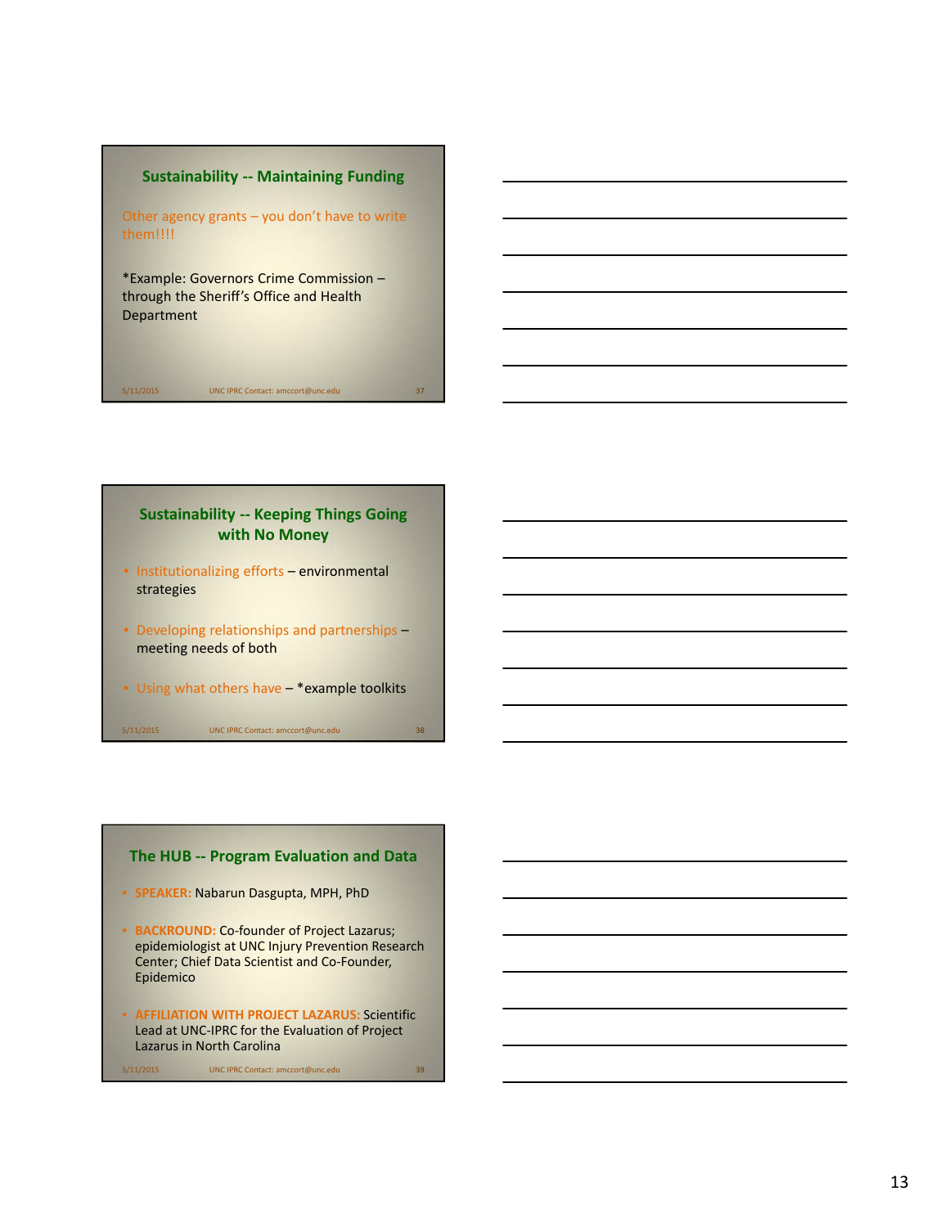## **Sustainability ‐‐ Maintaining Funding**

Other agency grants – you don't have to write them!!!!

\*Example: Governors Crime Commission – through the Sheriff's Office and Health Department

## **Sustainability ‐‐ Keeping Things Going with No Money**

5/11/2015 UNC IPRC Contact: amccort@unc.edu 37

- Institutionalizing efforts environmental strategies
- Developing relationships and partnerships meeting needs of both
- Using what others have \*example toolkits

5/11/2015 UNC IPRC Contact: amccort@unc.edu 38

## **The HUB ‐‐ Program Evaluation and Data**

- **SPEAKER:** Nabarun Dasgupta, MPH, PhD
- **BACKROUND:** Co‐founder of Project Lazarus; epidemiologist at UNC Injury Prevention Research Center; Chief Data Scientist and Co‐Founder, Epidemico
- **AFFILIATION WITH PROJECT LAZARUS:** Scientific Lead at UNC‐IPRC for the Evaluation of Project Lazarus in North Carolina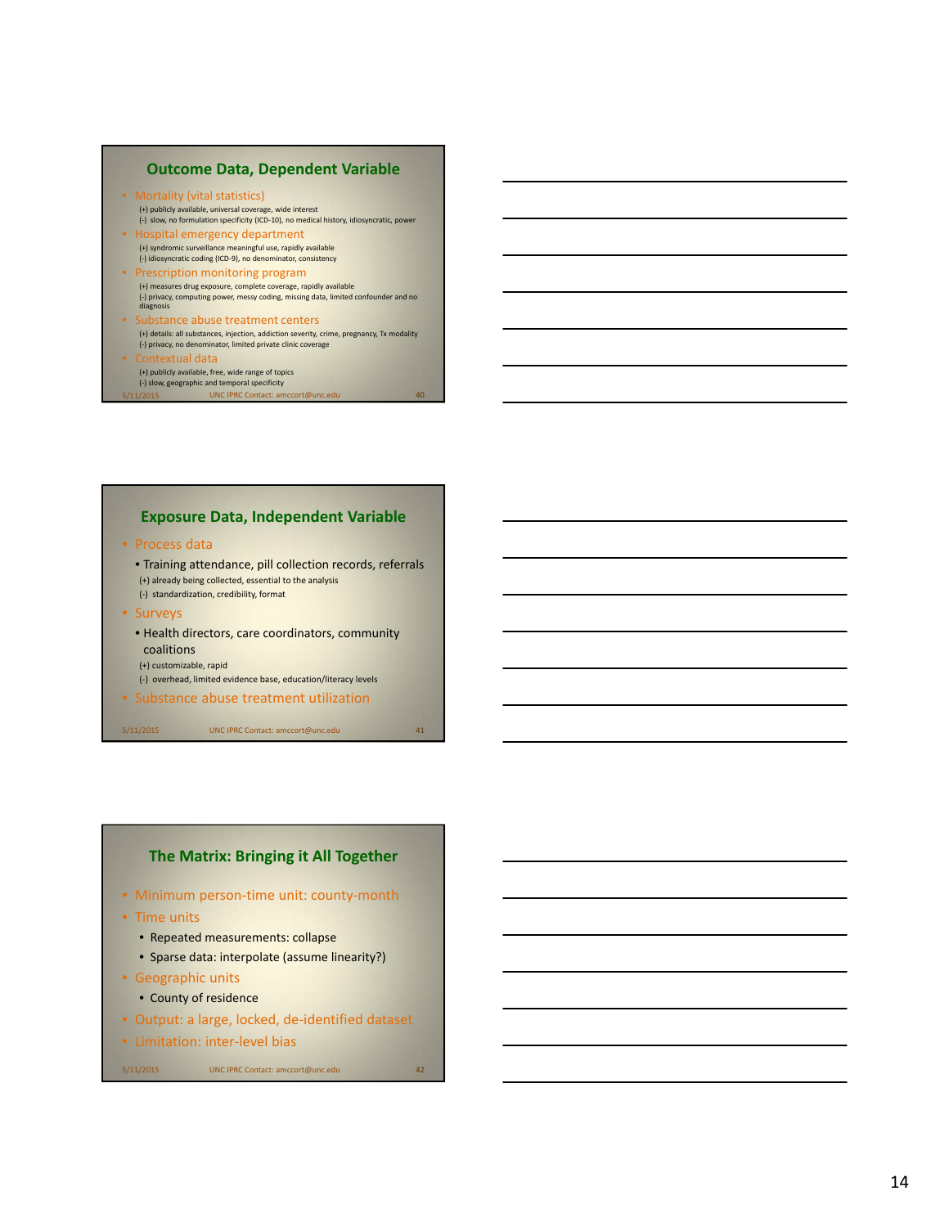## **Outcome Data, Dependent Variable**

- Mortality (vital statistics) (+) publicly available, universal coverage, wide interest (‐) slow, no formulation specificity (ICD‐10), no medical history, idiosyncratic, power
- Hospital emergency department (+) syndromic surveillance meaningful use, rapidly available (‐) idiosyncratic coding (ICD‐9), no denominator, consistency • Prescription monitoring program (+) measures drug exposure, complete coverage, rapidly available
- (‐) privacy, computing power, messy coding, missing data, limited confounder and no diagnosis
- Substance abuse treatment centers (+) details: all substances, injection, addiction severity, crime, pregnancy, Tx modality (‐) privacy, no denominator, limited private clinic coverage
- Contextual data (+) publicly available, free, wide range of topics (‐) slow, geographic and temporal specificity /11/2015 UNC IPRC Contact: amccort@unc.ed

#### **Exposure Data, Independent Variable**

- Process data
	- Training attendance, pill collection records, referrals (+) already being collected, essential to the analysis (‐) standardization, credibility, format
- Surveys
	- Health directors, care coordinators, community coalitions
	- (+) customizable, rapid
	- (‐) overhead, limited evidence base, education/literacy levels
- Substance abuse treatment utilization

5/11/2015 UNC IPRC Contact: amccort@unc.edu 41

## **The Matrix: Bringing it All Together**

- Minimum person-time unit: county-month
- Time units
	- Repeated measurements: collapse
	- Sparse data: interpolate (assume linearity?)
- Geographic units
	- County of residence
- Output: a large, locked, de‐identified dataset
- Limitation: inter‐level bias

```
5/11/2015 UNC IPRC Contact: amccort@unc.edu 42
```